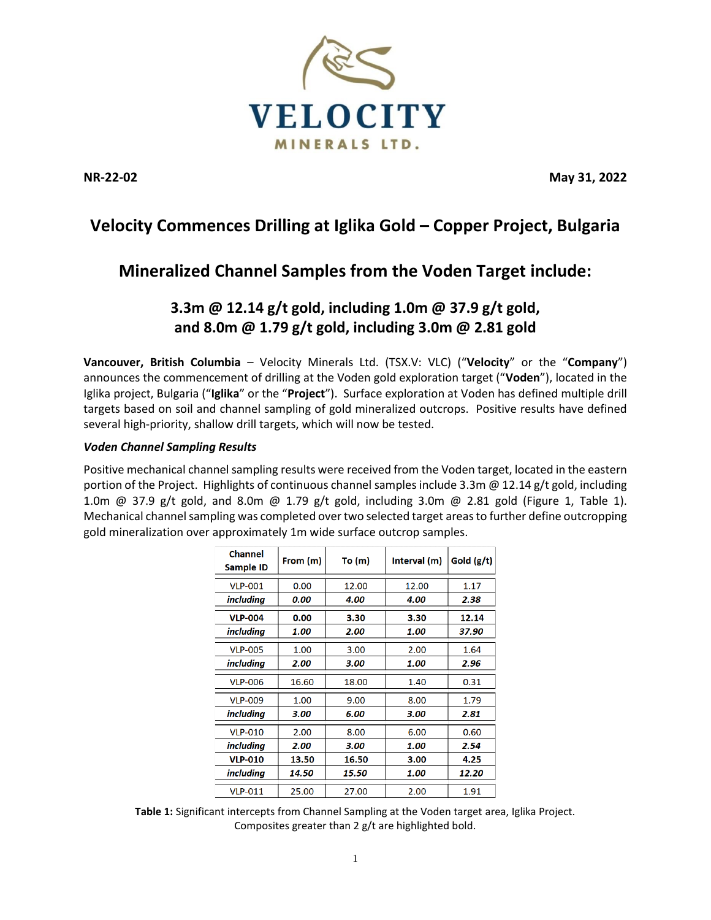

**NR-22-02 May 31, 2022**

# **Velocity Commences Drilling at Iglika Gold – Copper Project, Bulgaria**

# **Mineralized Channel Samples from the Voden Target include:**

# **3.3m @ 12.14 g/t gold, including 1.0m @ 37.9 g/t gold, and 8.0m @ 1.79 g/t gold, including 3.0m @ 2.81 gold**

**Vancouver, British Columbia** – Velocity Minerals Ltd. (TSX.V: VLC) ("**Velocity**" or the "**Company**") announces the commencement of drilling at the Voden gold exploration target ("**Voden**"), located in the Iglika project, Bulgaria ("**Iglika**" or the "**Project**"). Surface exploration at Voden has defined multiple drill targets based on soil and channel sampling of gold mineralized outcrops. Positive results have defined several high-priority, shallow drill targets, which will now be tested.

## *Voden Channel Sampling Results*

Positive mechanical channel sampling results were received from the Voden target, located in the eastern portion of the Project. Highlights of continuous channel samples include 3.3m @ 12.14 g/t gold, including 1.0m @ 37.9 g/t gold, and 8.0m @ 1.79 g/t gold, including 3.0m @ 2.81 gold (Figure 1, Table 1). Mechanical channel sampling was completed over two selected target areas to further define outcropping gold mineralization over approximately 1m wide surface outcrop samples.

| <b>Channel</b><br>Sample ID | From (m) | To (m) | Interval (m) | Gold (g/t) |
|-----------------------------|----------|--------|--------------|------------|
| <b>VLP-001</b>              | 0.00     | 12.00  | 12.00        | 1.17       |
| <i>including</i>            | 0.00     | 4.00   | 4.00         | 2.38       |
| <b>VLP-004</b>              | 0.00     | 3.30   | 3.30         | 12.14      |
| including                   | 1.00     | 2.00   | 1.00         | 37.90      |
| <b>VLP-005</b>              | 1.00     | 3.00   | 2.00         | 1.64       |
| including                   | 2.00     | 3.00   | 1.00         | 2.96       |
| <b>VLP-006</b>              | 16.60    | 18.00  | 1.40         | 0.31       |
| <b>VLP-009</b>              | 1.00     | 9.00   | 8.00         | 1.79       |
| including                   | 3.00     | 6.00   | 3.00         | 2.81       |
| <b>VLP-010</b>              | 2.00     | 8.00   | 6.00         | 0.60       |
| including                   | 2.00     | 3.00   | 1.00         | 2.54       |
| <b>VLP-010</b>              | 13.50    | 16.50  | 3.00         | 4.25       |
| including                   | 14.50    | 15.50  | 1.00         | 12.20      |
| <b>VLP-011</b>              | 25.00    | 27.00  | 2.00         | 1.91       |

**Table 1:** Significant intercepts from Channel Sampling at the Voden target area, Iglika Project. Composites greater than 2 g/t are highlighted bold.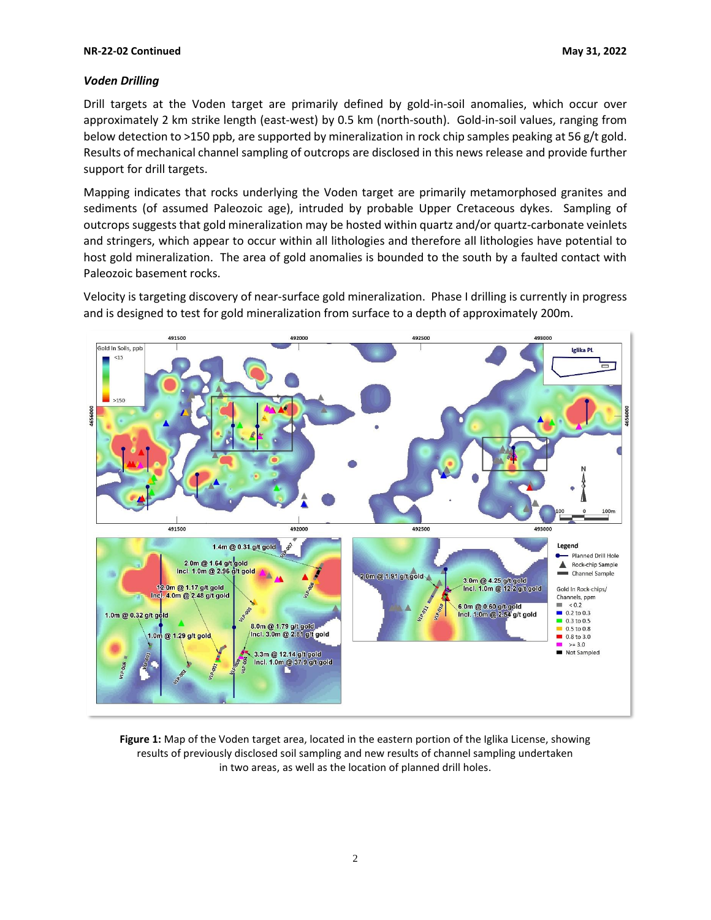#### **NR-22-02 Continued May 31, 2022**

## *Voden Drilling*

Drill targets at the Voden target are primarily defined by gold-in-soil anomalies, which occur over approximately 2 km strike length (east-west) by 0.5 km (north-south). Gold-in-soil values, ranging from below detection to >150 ppb, are supported by mineralization in rock chip samples peaking at 56 g/t gold. Results of mechanical channel sampling of outcrops are disclosed in this news release and provide further support for drill targets.

Mapping indicates that rocks underlying the Voden target are primarily metamorphosed granites and sediments (of assumed Paleozoic age), intruded by probable Upper Cretaceous dykes. Sampling of outcrops suggests that gold mineralization may be hosted within quartz and/or quartz-carbonate veinlets and stringers, which appear to occur within all lithologies and therefore all lithologies have potential to host gold mineralization. The area of gold anomalies is bounded to the south by a faulted contact with Paleozoic basement rocks.

Velocity is targeting discovery of near-surface gold mineralization. Phase I drilling is currently in progress and is designed to test for gold mineralization from surface to a depth of approximately 200m.



**Figure 1:** Map of the Voden target area, located in the eastern portion of the Iglika License, showing results of previously disclosed soil sampling and new results of channel sampling undertaken in two areas, as well as the location of planned drill holes.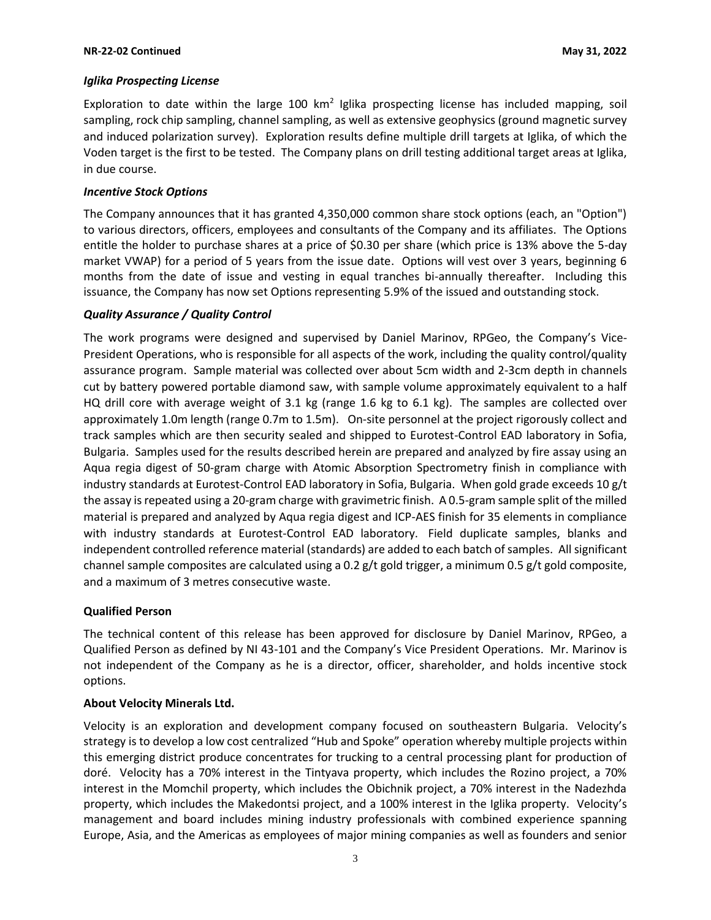## *Iglika Prospecting License*

Exploration to date within the large 100  $km^2$  Iglika prospecting license has included mapping, soil sampling, rock chip sampling, channel sampling, as well as extensive geophysics (ground magnetic survey and induced polarization survey). Exploration results define multiple drill targets at Iglika, of which the Voden target is the first to be tested. The Company plans on drill testing additional target areas at Iglika, in due course.

### *Incentive Stock Options*

The Company announces that it has granted 4,350,000 common share stock options (each, an "Option") to various directors, officers, employees and consultants of the Company and its affiliates. The Options entitle the holder to purchase shares at a price of \$0.30 per share (which price is 13% above the 5-day market VWAP) for a period of 5 years from the issue date. Options will vest over 3 years, beginning 6 months from the date of issue and vesting in equal tranches bi-annually thereafter. Including this issuance, the Company has now set Options representing 5.9% of the issued and outstanding stock.

### *Quality Assurance / Quality Control*

The work programs were designed and supervised by Daniel Marinov, RPGeo, the Company's Vice-President Operations, who is responsible for all aspects of the work, including the quality control/quality assurance program. Sample material was collected over about 5cm width and 2-3cm depth in channels cut by battery powered portable diamond saw, with sample volume approximately equivalent to a half HQ drill core with average weight of 3.1 kg (range 1.6 kg to 6.1 kg). The samples are collected over approximately 1.0m length (range 0.7m to 1.5m). On-site personnel at the project rigorously collect and track samples which are then security sealed and shipped to Eurotest-Control EAD laboratory in Sofia, Bulgaria. Samples used for the results described herein are prepared and analyzed by fire assay using an Aqua regia digest of 50-gram charge with Atomic Absorption Spectrometry finish in compliance with industry standards at Eurotest-Control EAD laboratory in Sofia, Bulgaria. When gold grade exceeds 10 g/t the assay is repeated using a 20-gram charge with gravimetric finish. A 0.5-gram sample split of the milled material is prepared and analyzed by Aqua regia digest and ICP-AES finish for 35 elements in compliance with industry standards at Eurotest-Control EAD laboratory. Field duplicate samples, blanks and independent controlled reference material (standards) are added to each batch of samples. All significant channel sample composites are calculated using a 0.2 g/t gold trigger, a minimum 0.5 g/t gold composite, and a maximum of 3 metres consecutive waste.

## **Qualified Person**

The technical content of this release has been approved for disclosure by Daniel Marinov, RPGeo, a Qualified Person as defined by NI 43-101 and the Company's Vice President Operations. Mr. Marinov is not independent of the Company as he is a director, officer, shareholder, and holds incentive stock options.

## **About Velocity Minerals Ltd.**

Velocity is an exploration and development company focused on southeastern Bulgaria. Velocity's strategy is to develop a low cost centralized "Hub and Spoke" operation whereby multiple projects within this emerging district produce concentrates for trucking to a central processing plant for production of doré. Velocity has a 70% interest in the Tintyava property, which includes the Rozino project, a 70% interest in the Momchil property, which includes the Obichnik project, a 70% interest in the Nadezhda property, which includes the Makedontsi project, and a 100% interest in the Iglika property. Velocity's management and board includes mining industry professionals with combined experience spanning Europe, Asia, and the Americas as employees of major mining companies as well as founders and senior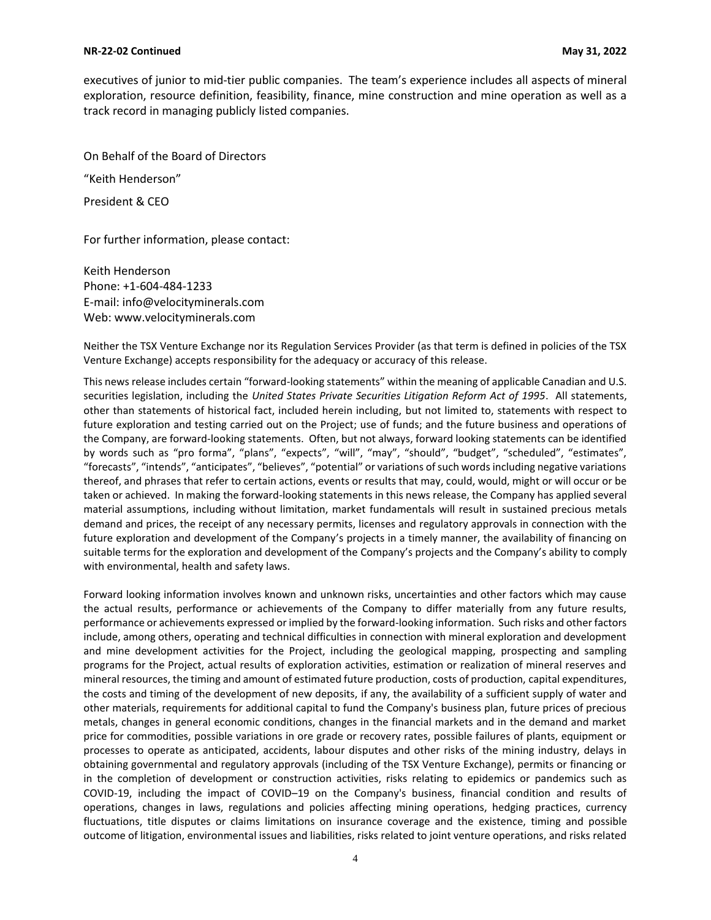#### **NR-22-02 Continued May 31, 2022**

executives of junior to mid-tier public companies. The team's experience includes all aspects of mineral exploration, resource definition, feasibility, finance, mine construction and mine operation as well as a track record in managing publicly listed companies.

On Behalf of the Board of Directors

"Keith Henderson"

President & CEO

For further information, please contact:

Keith Henderson Phone: +1-604-484-1233 E-mail: [info@velocityminerals.com](mailto:info@velocityminerals.com) Web: [www.velocityminerals.com](http://www.velocityminerals.com/)

Neither the TSX Venture Exchange nor its Regulation Services Provider (as that term is defined in policies of the TSX Venture Exchange) accepts responsibility for the adequacy or accuracy of this release.

This news release includes certain "forward-looking statements" within the meaning of applicable Canadian and U.S. securities legislation, including the *United States Private Securities Litigation Reform Act of 1995*. All statements, other than statements of historical fact, included herein including, but not limited to, statements with respect to future exploration and testing carried out on the Project; use of funds; and the future business and operations of the Company, are forward-looking statements. Often, but not always, forward looking statements can be identified by words such as "pro forma", "plans", "expects", "will", "may", "should", "budget", "scheduled", "estimates", "forecasts", "intends", "anticipates", "believes", "potential" or variations of such words including negative variations thereof, and phrases that refer to certain actions, events or results that may, could, would, might or will occur or be taken or achieved. In making the forward-looking statements in this news release, the Company has applied several material assumptions, including without limitation, market fundamentals will result in sustained precious metals demand and prices, the receipt of any necessary permits, licenses and regulatory approvals in connection with the future exploration and development of the Company's projects in a timely manner, the availability of financing on suitable terms for the exploration and development of the Company's projects and the Company's ability to comply with environmental, health and safety laws.

Forward looking information involves known and unknown risks, uncertainties and other factors which may cause the actual results, performance or achievements of the Company to differ materially from any future results, performance or achievements expressed or implied by the forward-looking information. Such risks and other factors include, among others, operating and technical difficulties in connection with mineral exploration and development and mine development activities for the Project, including the geological mapping, prospecting and sampling programs for the Project, actual results of exploration activities, estimation or realization of mineral reserves and mineral resources, the timing and amount of estimated future production, costs of production, capital expenditures, the costs and timing of the development of new deposits, if any, the availability of a sufficient supply of water and other materials, requirements for additional capital to fund the Company's business plan, future prices of precious metals, changes in general economic conditions, changes in the financial markets and in the demand and market price for commodities, possible variations in ore grade or recovery rates, possible failures of plants, equipment or processes to operate as anticipated, accidents, labour disputes and other risks of the mining industry, delays in obtaining governmental and regulatory approvals (including of the TSX Venture Exchange), permits or financing or in the completion of development or construction activities, risks relating to epidemics or pandemics such as COVID-19, including the impact of COVID–19 on the Company's business, financial condition and results of operations, changes in laws, regulations and policies affecting mining operations, hedging practices, currency fluctuations, title disputes or claims limitations on insurance coverage and the existence, timing and possible outcome of litigation, environmental issues and liabilities, risks related to joint venture operations, and risks related